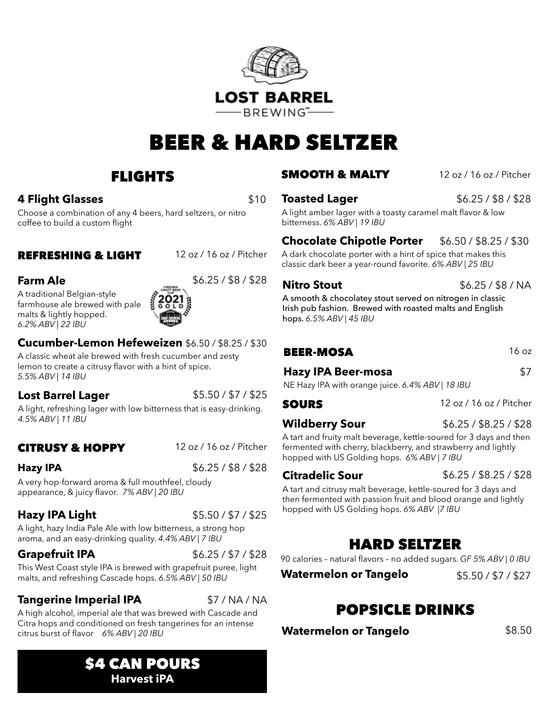

# BEER & HARD SELTZER

## FLIGHTS

#### **4 Flight Glasses** \$10

Choose a combination of any 4 beers, hard seltzers, or nitro coffee to build a custom flight

#### REFRESHING & LIGHT 12 oz / 16 oz / Pitcher

A traditional Belgian-style farmhouse ale brewed with pale malts & lightly hopped. *6.2% ABV | 22 IBU*



#### **Cucumber-Lemon Hefeweizen** \$6.50 / \$8.25 / \$30

A classic wheat ale brewed with fresh cucumber and zesty lemon to create a citrusy flavor with a hint of spice. *5.5% ABV | 14 IBU*

#### **Lost Barrel Lager** \$5.50 / \$7 / \$25

A light, refreshing lager with low bitterness that is easy-drinking. *4.5% ABV | 11 IBU*

### CITRUSY & HOPPY 12 oz / 16 oz / Pitcher

**Hazy IPA**  $$6.25 / $8 / $28$ 

A very hop-forward aroma & full mouthfeel, cloudy appearance, & juicy flavor. *7% ABV | 20 IBU*

#### **Hazy IPA Light** \$5.50 / \$7 / \$25

A light, hazy India Pale Ale with low bitterness, a strong hop aroma, and an easy-drinking quality. *4.4% ABV | 7 IBU*

#### **Grapefruit IPA**  $$6.25 / $7 / $28$

This West Coast style IPA is brewed with grapefruit puree, light malts, and refreshing Cascade hops. *6.5% ABV | 50 IBU*

#### **Tangerine Imperial IPA** \$7/NA/NA

A high alcohol, imperial ale that was brewed with Cascade and Citra hops and conditioned on fresh tangerines for an intense citrus burst of flavor *6% ABV | 20 IBU*

#### **SMOOTH & MALTY** 12 oz / 16 oz / Pitcher

#### **Toasted Lager** \$6.25/\$8/\$28

A light amber lager with a toasty caramel malt flavor & low bitterness. *6% ABV | 19 IBU*

### **Chocolate Chipotle Porter**  $$6.50 / $8.25 / $30$

A dark chocolate porter with a hint of spice that makes this classic dark beer a year-round favorite. *6% ABV | 25 IBU*

**Nitro Stout**   $$6.25 / $8 / NA$ 

A smooth & chocolatey stout served on nitrogen in classic Irish pub fashion. Brewed with roasted malts and English hops. *6.5% ABV | 45 IBU*

#### BEER-MOSA 16 oz

**Hazy IPA Beer-mosa** \$7

NE Hazy IPA with orange juice. *6.4% ABV | 18 IBU*

SOURS 12 oz / 16 oz / Pitcher

**Wildberry Sour** \$6.25 / \$8.25 / \$28

A tart and fruity malt beverage, kettle-soured for 3 days and then fermented with cherry, blackberry, and strawberry and lightly hopped with US Golding hops. *6% ABV | 7 IBU*

**Citradelic Sour** \$6.25 / \$8.25 / \$28

A tart and citrusy malt beverage, kettle-soured for 3 days and then fermented with passion fruit and blood orange and lightly hopped with US Golding hops. *6% ABV |7 IBU*

## HARD SELTZER

90 calories – natural flavors – no added sugars. *GF 5% ABV | 0 IBU*

**Watermelon or Tangelo**  $$5.50 / $7 / $27$ 

## POPSICLE DRINKS

**Watermelon or Tangelo** \$8.50

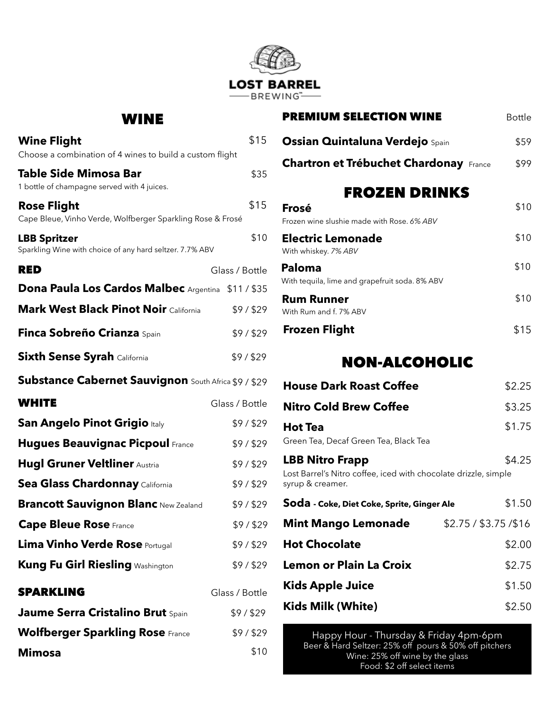

#### WINE

| <b>Wine Flight</b><br>Choose a combination of 4 wines to build a custom flight   | \$15           |
|----------------------------------------------------------------------------------|----------------|
| <b>Table Side Mimosa Bar</b><br>1 bottle of champagne served with 4 juices.      | \$35           |
| <b>Rose Flight</b><br>Cape Bleue, Vinho Verde, Wolfberger Sparkling Rose & Frosé | \$15           |
| <b>LBB Spritzer</b><br>Sparkling Wine with choice of any hard seltzer. 7.7% ABV  | \$10           |
| <b>RED</b>                                                                       | Glass / Bottle |
| Dona Paula Los Cardos Malbec Argentina \$11/\$35                                 |                |
| <b>Mark West Black Pinot Noir California</b>                                     | \$9/\$29       |
| <b>Finca Sobreño Crianza Spain</b>                                               | \$9/\$29       |
| <b>Sixth Sense Syrah California</b>                                              | \$9/\$29       |
| <b>Substance Cabernet Sauvignon</b> South Africa \$9 / \$29                      |                |
| <b>WHITE</b>                                                                     | Glass / Bottle |
| San Angelo Pinot Grigio Italy                                                    | \$9/\$29       |
| <b>Hugues Beauvignac Picpoul France</b>                                          | \$9/\$29       |
| <b>Hugl Gruner Veltliner Austria</b>                                             | \$9/\$29       |
| Sea Glass Chardonnay California                                                  | \$9/\$29       |
| <b>Brancott Sauvignon Blanc New Zealand</b>                                      | \$9/\$29       |
| <b>Cape Bleue Rose</b> France                                                    | \$9/\$29       |
| <b>Lima Vinho Verde Rose Portugal</b>                                            | \$9/\$29       |
| <b>Kung Fu Girl Riesling Washington</b>                                          | \$9/\$29       |
| <b>SPARKLING</b>                                                                 | Glass / Bottle |
| <b>Jaume Serra Cristalino Brut Spain</b>                                         | \$9/\$29       |
| <b>Wolfberger Sparkling Rose France</b>                                          | \$9/\$29       |
| <b>Mimosa</b>                                                                    | \$10           |

| <b>PREMIUM SELECTION WINE</b>                            | Bottle |
|----------------------------------------------------------|--------|
| <b>Ossian Quintaluna Verdejo Spain</b>                   | \$59   |
| <b>Chartron et Trébuchet Chardonay France</b>            | \$99   |
| <b>FROZEN DRINKS</b>                                     |        |
| Frosé<br>Frozen wine slushie made with Rose, 6% ABV      | \$10   |
| <b>Electric Lemonade</b><br>With whiskey. 7% ABV         | \$10   |
| Paloma<br>With tequila, lime and grapefruit soda. 8% ABV | \$10   |
| <b>Rum Runner</b><br>With Rum and f. 7% ABV              | \$10   |
| <b>Frozen Flight</b>                                     | \$15   |
|                                                          |        |

### NON-ALCOHOLIC

| <b>House Dark Roast Coffee</b>                                                                                |                        | \$2.25 |
|---------------------------------------------------------------------------------------------------------------|------------------------|--------|
| Nitro Cold Brew Coffee                                                                                        |                        | \$3.25 |
| <b>Hot Tea</b><br>Green Tea, Decaf Green Tea, Black Tea                                                       |                        | \$1.75 |
| <b>LBB Nitro Frapp</b><br>Lost Barrel's Nitro coffee, iced with chocolate drizzle, simple<br>syrup & creamer. |                        | \$4.25 |
| Soda - Coke, Diet Coke, Sprite, Ginger Ale                                                                    |                        | \$1.50 |
| <b>Mint Mango Lemonade</b>                                                                                    | \$2.75 / \$3.75 / \$16 |        |
| <b>Hot Chocolate</b>                                                                                          |                        | \$2.00 |
| Lemon or Plain La Croix                                                                                       |                        | \$2.75 |
| <b>Kids Apple Juice</b>                                                                                       |                        | \$1.50 |
| Kids Milk (White)                                                                                             |                        | \$2.50 |

Happy Hour - Thursday & Friday 4pm-6pm Beer & Hard Seltzer: 25% off pours & 50% off pitchers Wine: 25% off wine by the glass Food: \$2 off select items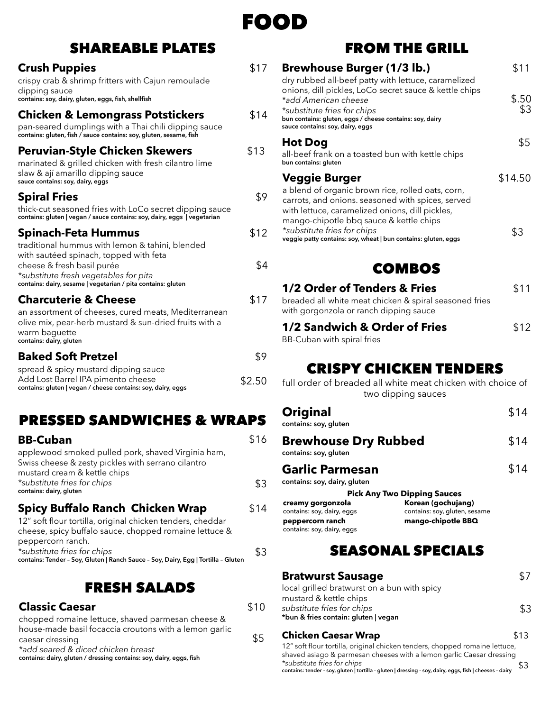

## SHAREABLE PLATES

#### **Crush Puppies \$17**

crispy crab & shrimp fritters with Cajun remoulade dipping sauce **contains: soy, dairy, gluten, eggs, fish, shellfish**

#### **Chicken & Lemongrass Potstickers** \$14

pan-seared dumplings with a Thai chili dipping sauce **contains: gluten, fish / sauce contains: soy, gluten, sesame, fish**

#### **Peruvian-Style Chicken Skewers** \$13

marinated & grilled chicken with fresh cilantro lime slaw & ají amarillo dipping sauce **sauce contains: soy, dairy, eggs**

#### **Spiral Fries**  $\sqrt{9}$

| thick-cut seasoned fries with LoCo secret dipping sauce                  |
|--------------------------------------------------------------------------|
| contains: gluten   vegan / sauce contains: soy, dairy, eggs   vegetarian |

#### **Spinach-Feta Hummus** \$12

| traditional hummus with lemon & tahini, blended              |     |
|--------------------------------------------------------------|-----|
| with sautéed spinach, topped with feta                       |     |
| cheese & fresh basil purée                                   | \$4 |
| *substitute fresh vegetables for pita                        |     |
| contains: dairy, sesame   vegetarian / pita contains: gluten |     |
|                                                              |     |

#### **Charcuterie & Cheese \$17**

an assortment of cheeses, cured meats, Mediterranean olive mix, pear-herb mustard & sun-dried fruits with a warm baguette **contains: dairy, gluten**

#### **Baked Soft Pretzel**  \$9

| spread & spicy mustard dipping sauce                         |        |
|--------------------------------------------------------------|--------|
| Add Lost Barrel IPA pimento cheese                           | \$2.50 |
| contains: gluten   vegan / cheese contains: soy, dairy, eggs |        |

## PRESSED SANDWICHES & WRAPS

| <b>BB-Cuban</b>                                                                                                                          | \$16 |
|------------------------------------------------------------------------------------------------------------------------------------------|------|
| applewood smoked pulled pork, shaved Virginia ham,<br>Swiss cheese & zesty pickles with serrano cilantro<br>mustard cream & kettle chips |      |
| *substitute fries for chips<br>contains: dairy, gluten                                                                                   | \$3  |
| <b>Spicy Buffalo Ranch Chicken Wrap</b><br>12" soft flour tortilla, original chicken tenders, cheddar                                    | \$14 |

| contains: Tender - Soy, Gluten   Ranch Sauce - Soy, Dairy, Egg   Tortilla - Gluten |     |
|------------------------------------------------------------------------------------|-----|
| *substitute fries for chips                                                        | \$3 |
| peppercorn ranch.                                                                  |     |
| cheese, spicy buffalo sauce, chopped romaine lettuce &                             |     |

## FRESH SALADS

| <b>Classic Caesar</b>                                               | \$10 |
|---------------------------------------------------------------------|------|
| chopped romaine lettuce, shaved parmesan cheese &                   |      |
| house-made basil focaccia croutons with a lemon garlic              |      |
| caesar dressing                                                     | \$5  |
| *add seared & diced chicken breast                                  |      |
| contains: dairy, gluten / dressing contains: soy, dairy, eggs, fish |      |

## FROM THE GRILL

|   | <b>Brewhouse Burger (1/3 lb.)</b><br>dry rubbed all-beef patty with lettuce, caramelized                                                                                                                      | \$11           |
|---|---------------------------------------------------------------------------------------------------------------------------------------------------------------------------------------------------------------|----------------|
|   | onions, dill pickles, LoCo secret sauce & kettle chips<br>*add American cheese<br>*substitute fries for chips<br>bun contains: gluten, eggs / cheese contains: soy, dairy<br>sauce contains: soy, dairy, eggs | $$.50$<br>$$3$ |
|   | <b>Hot Dog</b><br>all-beef frank on a toasted bun with kettle chips<br>bun contains: gluten                                                                                                                   | \$5            |
|   | <b>Veggie Burger</b><br>a blend of organic brown rice, rolled oats, corn,<br>carrots, and onions. seasoned with spices, served<br>with lettuce, caramelized onions, dill pickles,                             | \$14.50        |
|   | mango-chipotle bbq sauce & kettle chips<br>*substitute fries for chips<br>veggie patty contains: soy, wheat   bun contains: gluten, eggs                                                                      | \$3            |
| 4 | IME TO                                                                                                                                                                                                        |                |

## ZMDV

#### **1/2 Order of Tenders & Fries** \$11

breaded all white meat chicken & spiral seasoned fries with gorgonzola or ranch dipping sauce

#### **1/2 Sandwich & Order of Fries** \$12

BB-Cuban with spiral fries

## CRISPY CHICKEN TENDERS

full order of breaded all white meat chicken with choice of two dipping sauces

| Original<br>contains: soy, gluten                      | \$14 |
|--------------------------------------------------------|------|
| <b>Brewhouse Dry Rubbed</b><br>contains: soy, gluten   | \$14 |
| <b>Garlic Parmesan</b><br>contains: soy, dairy, gluten | \$14 |

**Korean (gochujang)** contains: soy, gluten, sesame **creamy gorgonzola**  contains: soy, dairy, eggs **peppercorn ranch mango-chipotle BBQ** contains: soy, dairy, eggs **Pick Any Two Dipping Sauces**

## SEASONAL SPECIALS

| <b>Bratwurst Sausage</b>                    |     |
|---------------------------------------------|-----|
| local grilled bratwurst on a bun with spicy |     |
| mustard & kettle chips                      |     |
| substitute fries for chips                  | \$3 |
| *bun & fries contain: gluten   vegan        |     |

#### **Chicken Caesar Wrap**   $$13$

12" soft flour tortilla, original chicken tenders, chopped romaine lettuce, shaved asiago & parmesan cheeses with a lemon garlic Caesar dressing *\*substitute fries for chips* **contains: tender - soy, gluten | tortilla - gluten | dressing - soy, dairy, eggs, fish | cheeses - dairy** \$3